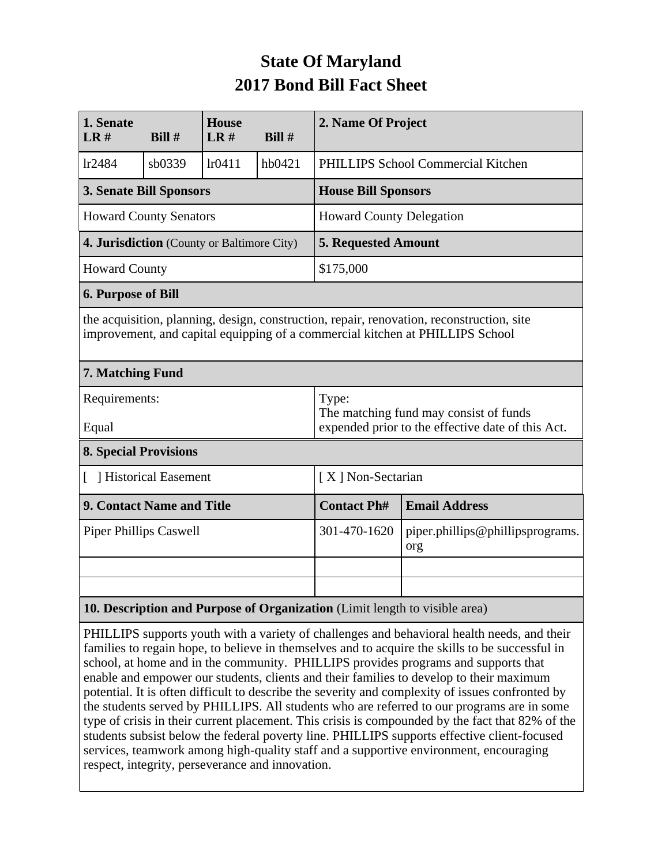## **State Of Maryland 2017 Bond Bill Fact Sheet**

| 1. Senate<br><b>House</b>                                                                                                                                                  |        |        | 2. Name Of Project |                                                                                                      |                                         |  |
|----------------------------------------------------------------------------------------------------------------------------------------------------------------------------|--------|--------|--------------------|------------------------------------------------------------------------------------------------------|-----------------------------------------|--|
| LR#                                                                                                                                                                        | Bill#  | LR#    | Bill#              |                                                                                                      |                                         |  |
| lr2484                                                                                                                                                                     | sb0339 | lr0411 | hb0421             | PHILLIPS School Commercial Kitchen                                                                   |                                         |  |
| <b>3. Senate Bill Sponsors</b>                                                                                                                                             |        |        |                    | <b>House Bill Sponsors</b>                                                                           |                                         |  |
| <b>Howard County Senators</b>                                                                                                                                              |        |        |                    | <b>Howard County Delegation</b>                                                                      |                                         |  |
| 4. Jurisdiction (County or Baltimore City)                                                                                                                                 |        |        |                    | <b>5. Requested Amount</b>                                                                           |                                         |  |
| <b>Howard County</b>                                                                                                                                                       |        |        |                    | \$175,000                                                                                            |                                         |  |
| <b>6. Purpose of Bill</b>                                                                                                                                                  |        |        |                    |                                                                                                      |                                         |  |
| the acquisition, planning, design, construction, repair, renovation, reconstruction, site<br>improvement, and capital equipping of a commercial kitchen at PHILLIPS School |        |        |                    |                                                                                                      |                                         |  |
| 7. Matching Fund                                                                                                                                                           |        |        |                    |                                                                                                      |                                         |  |
| Requirements:<br>Equal                                                                                                                                                     |        |        |                    | Type:<br>The matching fund may consist of funds<br>expended prior to the effective date of this Act. |                                         |  |
| <b>8. Special Provisions</b>                                                                                                                                               |        |        |                    |                                                                                                      |                                         |  |
| [ ] Historical Easement                                                                                                                                                    |        |        |                    | [X] Non-Sectarian                                                                                    |                                         |  |
| 9. Contact Name and Title                                                                                                                                                  |        |        |                    | <b>Contact Ph#</b>                                                                                   | <b>Email Address</b>                    |  |
| <b>Piper Phillips Caswell</b>                                                                                                                                              |        |        |                    | 301-470-1620                                                                                         | piper.phillips@phillipsprograms.<br>org |  |
|                                                                                                                                                                            |        |        |                    |                                                                                                      |                                         |  |
|                                                                                                                                                                            |        |        |                    |                                                                                                      |                                         |  |
| 10. Description and Purpose of Organization (Limit length to visible area)                                                                                                 |        |        |                    |                                                                                                      |                                         |  |

PHILLIPS supports youth with a variety of challenges and behavioral health needs, and their families to regain hope, to believe in themselves and to acquire the skills to be successful in school, at home and in the community. PHILLIPS provides programs and supports that enable and empower our students, clients and their families to develop to their maximum potential. It is often difficult to describe the severity and complexity of issues confronted by the students served by PHILLIPS. All students who are referred to our programs are in some type of crisis in their current placement. This crisis is compounded by the fact that 82% of the students subsist below the federal poverty line. PHILLIPS supports effective client-focused services, teamwork among high-quality staff and a supportive environment, encouraging respect, integrity, perseverance and innovation.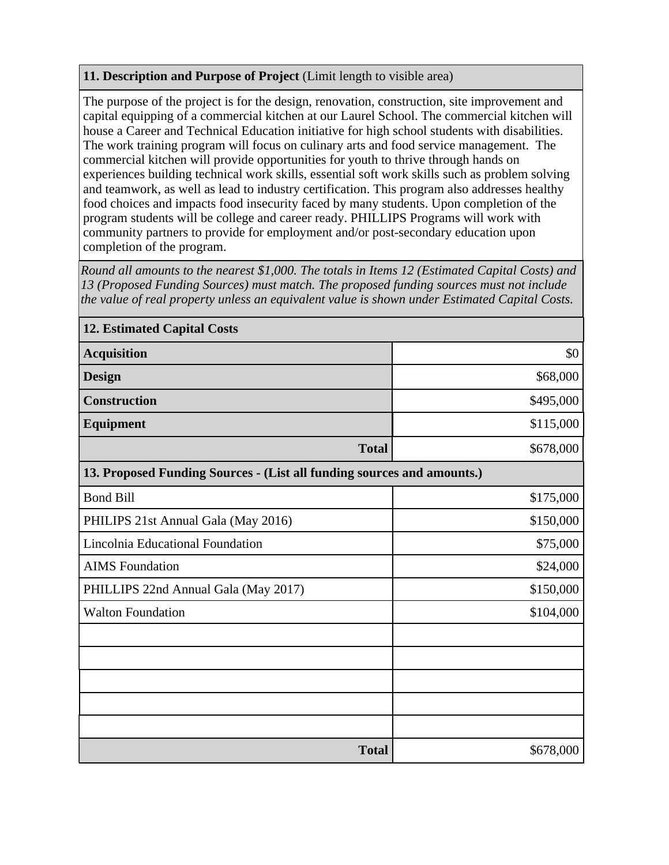## **11. Description and Purpose of Project** (Limit length to visible area)

The purpose of the project is for the design, renovation, construction, site improvement and capital equipping of a commercial kitchen at our Laurel School. The commercial kitchen will house a Career and Technical Education initiative for high school students with disabilities. The work training program will focus on culinary arts and food service management. The commercial kitchen will provide opportunities for youth to thrive through hands on experiences building technical work skills, essential soft work skills such as problem solving and teamwork, as well as lead to industry certification. This program also addresses healthy food choices and impacts food insecurity faced by many students. Upon completion of the program students will be college and career ready. PHILLIPS Programs will work with community partners to provide for employment and/or post-secondary education upon completion of the program.

*Round all amounts to the nearest \$1,000. The totals in Items 12 (Estimated Capital Costs) and 13 (Proposed Funding Sources) must match. The proposed funding sources must not include the value of real property unless an equivalent value is shown under Estimated Capital Costs.*

| <b>12. Estimated Capital Costs</b>                                     |           |  |  |  |  |
|------------------------------------------------------------------------|-----------|--|--|--|--|
| <b>Acquisition</b>                                                     | \$0       |  |  |  |  |
| <b>Design</b>                                                          | \$68,000  |  |  |  |  |
| <b>Construction</b>                                                    | \$495,000 |  |  |  |  |
| <b>Equipment</b>                                                       | \$115,000 |  |  |  |  |
| <b>Total</b>                                                           | \$678,000 |  |  |  |  |
| 13. Proposed Funding Sources - (List all funding sources and amounts.) |           |  |  |  |  |
| <b>Bond Bill</b>                                                       | \$175,000 |  |  |  |  |
| PHILIPS 21st Annual Gala (May 2016)                                    | \$150,000 |  |  |  |  |
| Lincolnia Educational Foundation                                       | \$75,000  |  |  |  |  |
| <b>AIMS</b> Foundation                                                 | \$24,000  |  |  |  |  |
| PHILLIPS 22nd Annual Gala (May 2017)                                   | \$150,000 |  |  |  |  |
| <b>Walton Foundation</b>                                               | \$104,000 |  |  |  |  |
|                                                                        |           |  |  |  |  |
|                                                                        |           |  |  |  |  |
|                                                                        |           |  |  |  |  |
|                                                                        |           |  |  |  |  |
|                                                                        |           |  |  |  |  |
| <b>Total</b>                                                           | \$678,000 |  |  |  |  |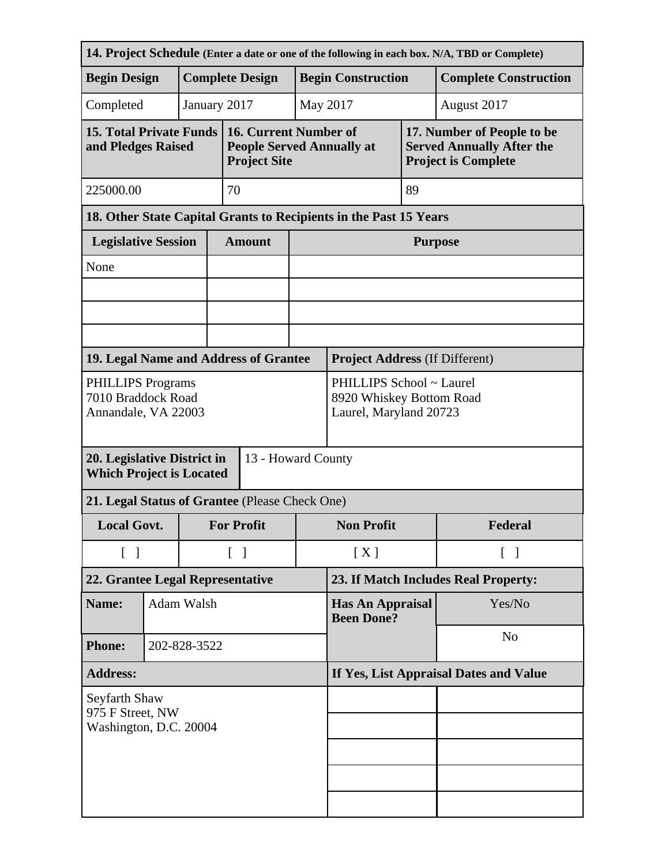| 14. Project Schedule (Enter a date or one of the following in each box. N/A, TBD or Complete) |  |  |                                   |                                                                                  |                                                                                |                                        |                   |                                                                                              |  |
|-----------------------------------------------------------------------------------------------|--|--|-----------------------------------|----------------------------------------------------------------------------------|--------------------------------------------------------------------------------|----------------------------------------|-------------------|----------------------------------------------------------------------------------------------|--|
| <b>Begin Design</b>                                                                           |  |  |                                   | <b>Complete Design</b>                                                           |                                                                                | <b>Begin Construction</b>              |                   | <b>Complete Construction</b>                                                                 |  |
| January 2017<br>Completed                                                                     |  |  |                                   |                                                                                  |                                                                                | May 2017                               |                   | August 2017                                                                                  |  |
| <b>15. Total Private Funds</b><br>and Pledges Raised                                          |  |  |                                   | 16. Current Number of<br><b>People Served Annually at</b><br><b>Project Site</b> |                                                                                |                                        |                   | 17. Number of People to be<br><b>Served Annually After the</b><br><b>Project is Complete</b> |  |
| 225000.00                                                                                     |  |  | 70                                |                                                                                  |                                                                                |                                        | 89                |                                                                                              |  |
| 18. Other State Capital Grants to Recipients in the Past 15 Years                             |  |  |                                   |                                                                                  |                                                                                |                                        |                   |                                                                                              |  |
| <b>Legislative Session</b>                                                                    |  |  |                                   | <b>Amount</b>                                                                    |                                                                                | <b>Purpose</b>                         |                   |                                                                                              |  |
| None                                                                                          |  |  |                                   |                                                                                  |                                                                                |                                        |                   |                                                                                              |  |
|                                                                                               |  |  |                                   |                                                                                  |                                                                                |                                        |                   |                                                                                              |  |
|                                                                                               |  |  |                                   |                                                                                  |                                                                                |                                        |                   |                                                                                              |  |
| 19. Legal Name and Address of Grantee                                                         |  |  |                                   |                                                                                  |                                                                                | <b>Project Address (If Different)</b>  |                   |                                                                                              |  |
| <b>PHILLIPS Programs</b><br>7010 Braddock Road<br>Annandale, VA 22003                         |  |  |                                   |                                                                                  | PHILLIPS School ~ Laurel<br>8920 Whiskey Bottom Road<br>Laurel, Maryland 20723 |                                        |                   |                                                                                              |  |
| 20. Legislative District in<br><b>Which Project is Located</b>                                |  |  |                                   | 13 - Howard County                                                               |                                                                                |                                        |                   |                                                                                              |  |
| 21. Legal Status of Grantee (Please Check One)                                                |  |  |                                   |                                                                                  |                                                                                |                                        |                   |                                                                                              |  |
| <b>Local Govt.</b>                                                                            |  |  | <b>For Profit</b>                 |                                                                                  | <b>Non Profit</b>                                                              |                                        | Federal           |                                                                                              |  |
| $\begin{bmatrix} 1 \end{bmatrix}$                                                             |  |  | $\begin{bmatrix} 1 \end{bmatrix}$ |                                                                                  | [X]                                                                            |                                        | $\lceil \ \rceil$ |                                                                                              |  |
| 22. Grantee Legal Representative                                                              |  |  |                                   |                                                                                  |                                                                                | 23. If Match Includes Real Property:   |                   |                                                                                              |  |
| Adam Walsh<br>Name:                                                                           |  |  |                                   |                                                                                  | <b>Has An Appraisal</b><br><b>Been Done?</b>                                   |                                        | Yes/No            |                                                                                              |  |
| <b>Phone:</b><br>202-828-3522                                                                 |  |  |                                   |                                                                                  | N <sub>o</sub>                                                                 |                                        |                   |                                                                                              |  |
| <b>Address:</b>                                                                               |  |  |                                   |                                                                                  |                                                                                | If Yes, List Appraisal Dates and Value |                   |                                                                                              |  |
| Seyfarth Shaw<br>975 F Street, NW<br>Washington, D.C. 20004                                   |  |  |                                   |                                                                                  |                                                                                |                                        |                   |                                                                                              |  |
|                                                                                               |  |  |                                   |                                                                                  |                                                                                |                                        |                   |                                                                                              |  |
|                                                                                               |  |  |                                   |                                                                                  |                                                                                |                                        |                   |                                                                                              |  |
|                                                                                               |  |  |                                   |                                                                                  |                                                                                |                                        |                   |                                                                                              |  |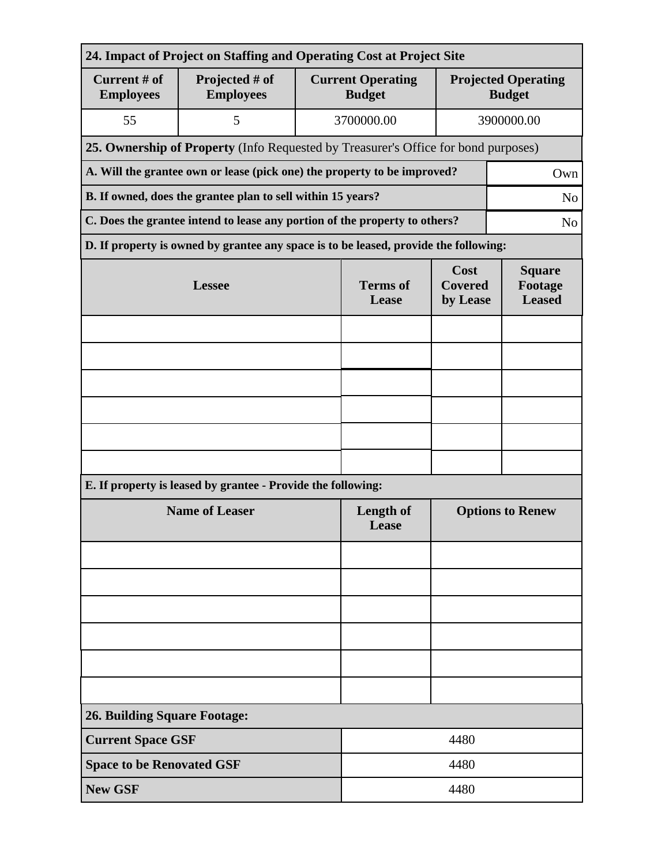| 24. Impact of Project on Staffing and Operating Cost at Project Site |                                                                                      |                                           |                                    |                                             |  |  |  |  |
|----------------------------------------------------------------------|--------------------------------------------------------------------------------------|-------------------------------------------|------------------------------------|---------------------------------------------|--|--|--|--|
| Current # of<br><b>Employees</b>                                     | Projected # of<br><b>Employees</b>                                                   | <b>Current Operating</b><br><b>Budget</b> |                                    | <b>Projected Operating</b><br><b>Budget</b> |  |  |  |  |
| 55                                                                   | 5                                                                                    | 3700000.00                                | 3900000.00                         |                                             |  |  |  |  |
|                                                                      | 25. Ownership of Property (Info Requested by Treasurer's Office for bond purposes)   |                                           |                                    |                                             |  |  |  |  |
|                                                                      | A. Will the grantee own or lease (pick one) the property to be improved?             |                                           | Own                                |                                             |  |  |  |  |
|                                                                      | B. If owned, does the grantee plan to sell within 15 years?                          |                                           | N <sub>o</sub>                     |                                             |  |  |  |  |
|                                                                      | C. Does the grantee intend to lease any portion of the property to others?           |                                           |                                    |                                             |  |  |  |  |
|                                                                      | D. If property is owned by grantee any space is to be leased, provide the following: |                                           |                                    |                                             |  |  |  |  |
|                                                                      | <b>Lessee</b>                                                                        | <b>Terms</b> of<br>Lease                  | Cost<br><b>Covered</b><br>by Lease | <b>Square</b><br>Footage<br><b>Leased</b>   |  |  |  |  |
|                                                                      |                                                                                      |                                           |                                    |                                             |  |  |  |  |
|                                                                      |                                                                                      |                                           |                                    |                                             |  |  |  |  |
|                                                                      |                                                                                      |                                           |                                    |                                             |  |  |  |  |
|                                                                      |                                                                                      |                                           |                                    |                                             |  |  |  |  |
|                                                                      |                                                                                      |                                           |                                    |                                             |  |  |  |  |
|                                                                      |                                                                                      |                                           |                                    |                                             |  |  |  |  |
|                                                                      | E. If property is leased by grantee - Provide the following:                         |                                           |                                    |                                             |  |  |  |  |
|                                                                      | <b>Name of Leaser</b>                                                                | Length of<br>Lease                        | <b>Options to Renew</b>            |                                             |  |  |  |  |
|                                                                      |                                                                                      |                                           |                                    |                                             |  |  |  |  |
|                                                                      |                                                                                      |                                           |                                    |                                             |  |  |  |  |
|                                                                      |                                                                                      |                                           |                                    |                                             |  |  |  |  |
|                                                                      |                                                                                      |                                           |                                    |                                             |  |  |  |  |
|                                                                      |                                                                                      |                                           |                                    |                                             |  |  |  |  |
|                                                                      |                                                                                      |                                           |                                    |                                             |  |  |  |  |
| <b>26. Building Square Footage:</b>                                  |                                                                                      |                                           |                                    |                                             |  |  |  |  |
| <b>Current Space GSF</b>                                             |                                                                                      | 4480                                      |                                    |                                             |  |  |  |  |
| <b>Space to be Renovated GSF</b>                                     |                                                                                      | 4480                                      |                                    |                                             |  |  |  |  |
| <b>New GSF</b>                                                       |                                                                                      |                                           | 4480                               |                                             |  |  |  |  |